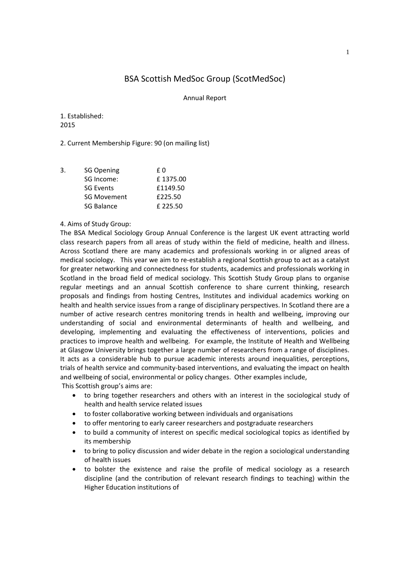# BSA Scottish MedSoc Group (ScotMedSoc)

#### Annual Report

1. Established: 2015

2. Current Membership Figure: 90 (on mailing list)

| 3. | <b>SG Opening</b>  | f 0      |
|----|--------------------|----------|
|    | SG Income:         | £1375.00 |
|    | <b>SG Events</b>   | £1149.50 |
|    | <b>SG Movement</b> | £225.50  |
|    | SG Balance         | £225.50  |
|    |                    |          |

### 4. Aims of Study Group:

The BSA Medical Sociology Group Annual Conference is the largest UK event attracting world class research papers from all areas of study within the field of medicine, health and illness. Across Scotland there are many academics and professionals working in or aligned areas of medical sociology. This year we aim to re-establish a regional Scottish group to act as a catalyst for greater networking and connectedness for students, academics and professionals working in Scotland in the broad field of medical sociology. This Scottish Study Group plans to organise regular meetings and an annual Scottish conference to share current thinking, research proposals and findings from hosting Centres, Institutes and individual academics working on health and health service issues from a range of disciplinary perspectives. In Scotland there are a number of active research centres monitoring trends in health and wellbeing, improving our understanding of social and environmental determinants of health and wellbeing, and developing, implementing and evaluating the effectiveness of interventions, policies and practices to improve health and wellbeing. For example, the Institute of Health and Wellbeing at Glasgow University brings together a large number of researchers from a range of disciplines. It acts as a considerable hub to pursue academic interests around inequalities, perceptions, trials of health service and community‐based interventions, and evaluating the impact on health and wellbeing of social, environmental or policy changes. Other examples include, This Scottish group's aims are:

- to bring together researchers and others with an interest in the sociological study of health and health service related issues
- to foster collaborative working between individuals and organisations
- to offer mentoring to early career researchers and postgraduate researchers
- to build a community of interest on specific medical sociological topics as identified by its membership
- to bring to policy discussion and wider debate in the region a sociological understanding of health issues
- to bolster the existence and raise the profile of medical sociology as a research discipline (and the contribution of relevant research findings to teaching) within the Higher Education institutions of